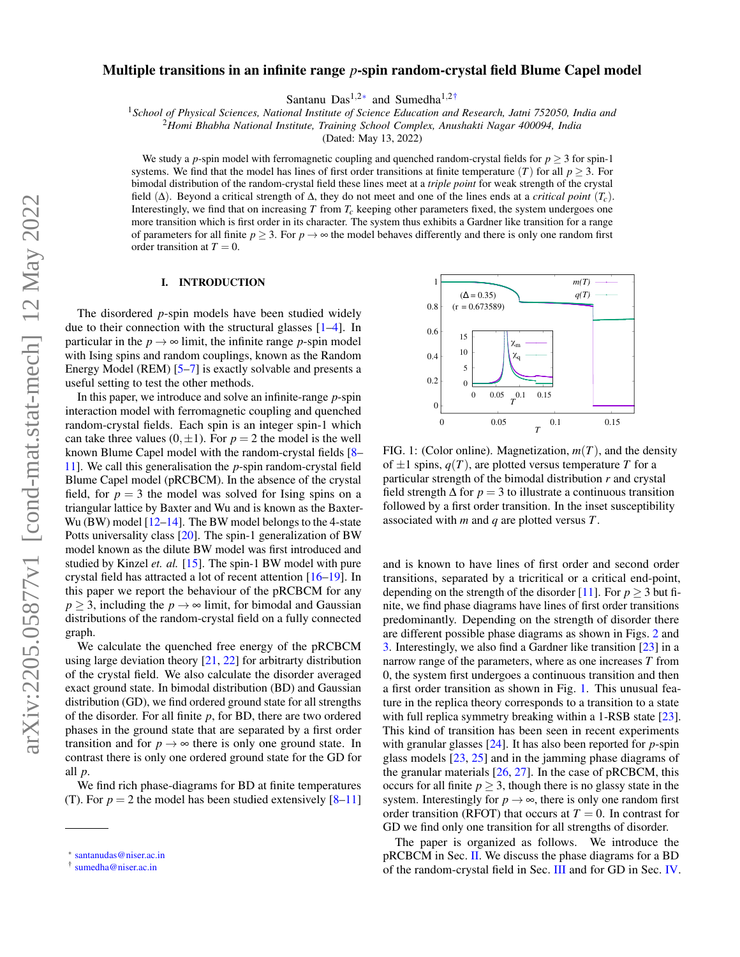# Multiple transitions in an infinite range *p*-spin random-crystal field Blume Capel model

Santanu Das<sup>1,2[∗](#page-0-0)</sup> and Sumedha<sup>1,[2†](#page-0-1)</sup>

<sup>1</sup>*School of Physical Sciences, National Institute of Science Education and Research, Jatni 752050, India and*

<sup>2</sup>*Homi Bhabha National Institute, Training School Complex, Anushakti Nagar 400094, India*

(Dated: May 13, 2022)

We study a *p*-spin model with ferromagnetic coupling and quenched random-crystal fields for  $p \geq 3$  for spin-1 systems. We find that the model has lines of first order transitions at finite temperature  $(T)$  for all  $p \geq 3$ . For bimodal distribution of the random-crystal field these lines meet at a *triple point* for weak strength of the crystal field (∆). Beyond a critical strength of ∆, they do not meet and one of the lines ends at a *critical point* (*Tc*). Interestingly, we find that on increasing *T* from *Tc* keeping other parameters fixed, the system undergoes one more transition which is first order in its character. The system thus exhibits a Gardner like transition for a range of parameters for all finite  $p \geq 3$ . For  $p \to \infty$  the model behaves differently and there is only one random first order transition at  $T = 0$ .

## I. INTRODUCTION

The disordered *p*-spin models have been studied widely due to their connection with the structural glasses [\[1–](#page-6-0)[4\]](#page-6-1). In particular in the  $p \rightarrow \infty$  limit, the infinite range *p*-spin model with Ising spins and random couplings, known as the Random Energy Model (REM) [\[5–](#page-6-2)[7\]](#page-6-3) is exactly solvable and presents a useful setting to test the other methods.

In this paper, we introduce and solve an infinite-range *p*-spin interaction model with ferromagnetic coupling and quenched random-crystal fields. Each spin is an integer spin-1 which can take three values  $(0, \pm 1)$ . For  $p = 2$  the model is the well known Blume Capel model with the random-crystal fields [\[8–](#page-7-0) [11\]](#page-7-1). We call this generalisation the *p*-spin random-crystal field Blume Capel model (pRCBCM). In the absence of the crystal field, for  $p = 3$  the model was solved for Ising spins on a triangular lattice by Baxter and Wu and is known as the Baxter-Wu (BW) model  $[12-14]$  $[12-14]$ . The BW model belongs to the 4-state Potts universality class [\[20\]](#page-7-4). The spin-1 generalization of BW model known as the dilute BW model was first introduced and studied by Kinzel *et. al.* [\[15\]](#page-7-5). The spin-1 BW model with pure crystal field has attracted a lot of recent attention [\[16–](#page-7-6)[19\]](#page-7-7). In this paper we report the behaviour of the pRCBCM for any  $p \geq 3$ , including the  $p \to \infty$  limit, for bimodal and Gaussian distributions of the random-crystal field on a fully connected graph.

We calculate the quenched free energy of the pRCBCM using large deviation theory  $[21, 22]$  $[21, 22]$  $[21, 22]$  for arbitrarty distribution of the crystal field. We also calculate the disorder averaged exact ground state. In bimodal distribution (BD) and Gaussian distribution (GD), we find ordered ground state for all strengths of the disorder. For all finite *p*, for BD, there are two ordered phases in the ground state that are separated by a first order transition and for  $p \rightarrow \infty$  there is only one ground state. In contrast there is only one ordered ground state for the GD for all *p*.

We find rich phase-diagrams for BD at finite temperatures (T). For  $p = 2$  the model has been studied extensively  $[8-11]$  $[8-11]$ 

<span id="page-0-2"></span>

FIG. 1: (Color online). Magnetization, *m*(*T*), and the density of  $\pm 1$  spins,  $q(T)$ , are plotted versus temperature *T* for a particular strength of the bimodal distribution *r* and crystal field strength  $\Delta$  for  $p = 3$  to illustrate a continuous transition followed by a first order transition. In the inset susceptibility associated with *m* and *q* are plotted versus *T*.

and is known to have lines of first order and second order transitions, separated by a tricritical or a critical end-point, depending on the strength of the disorder [\[11\]](#page-7-1). For  $p \ge 3$  but finite, we find phase diagrams have lines of first order transitions predominantly. Depending on the strength of disorder there are different possible phase diagrams as shown in Figs. [2](#page-2-0) and [3.](#page-3-0) Interestingly, we also find a Gardner like transition [\[23\]](#page-7-10) in a narrow range of the parameters, where as one increases *T* from 0, the system first undergoes a continuous transition and then a first order transition as shown in Fig. [1.](#page-0-2) This unusual feature in the replica theory corresponds to a transition to a state with full replica symmetry breaking within a 1-RSB state [\[23\]](#page-7-10). This kind of transition has been seen in recent experiments with granular glasses [\[24\]](#page-7-11). It has also been reported for *p*-spin glass models [\[23,](#page-7-10) [25\]](#page-7-12) and in the jamming phase diagrams of the granular materials [\[26,](#page-7-13) [27\]](#page-7-14). In the case of pRCBCM, this occurs for all finite  $p \geq 3$ , though there is no glassy state in the system. Interestingly for  $p \rightarrow \infty$ , there is only one random first order transition (RFOT) that occurs at  $T = 0$ . In contrast for GD we find only one transition for all strengths of disorder.

The paper is organized as follows. We introduce the pRCBCM in Sec. [II.](#page-1-0) We discuss the phase diagrams for a BD of the random-crystal field in Sec. [III](#page-1-1) and for GD in Sec. [IV.](#page-4-0)

<span id="page-0-0"></span><sup>∗</sup> [santanudas@niser.ac.in](mailto:santanudas@niser.ac.in)

<span id="page-0-1"></span><sup>†</sup> [sumedha@niser.ac.in](mailto:sumedha@niser.ac.in)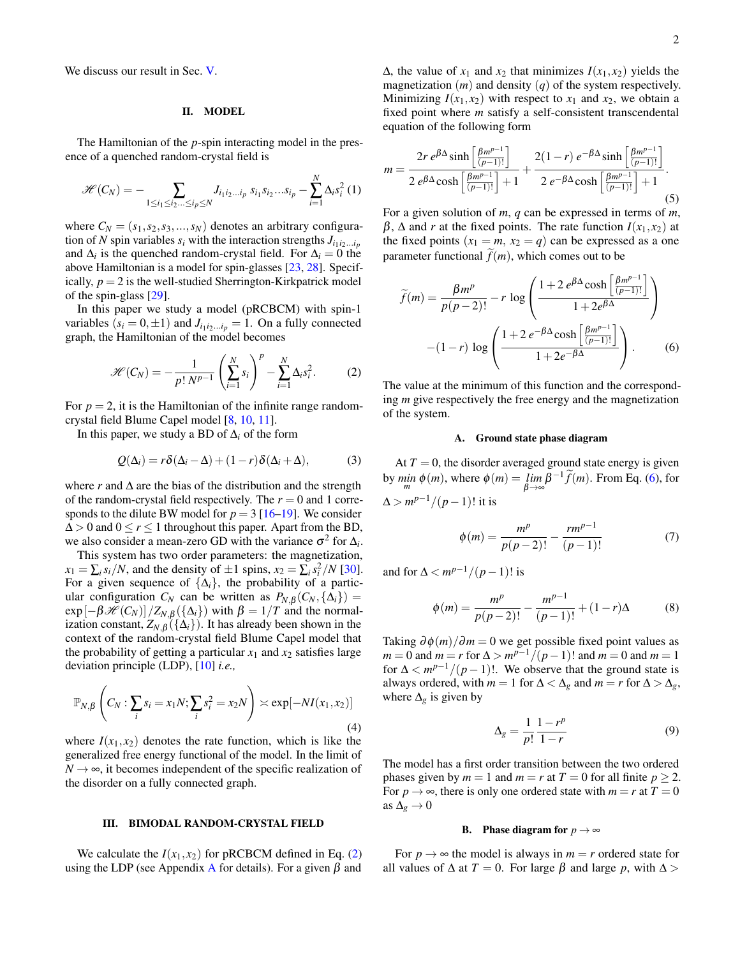We discuss our result in Sec. [V.](#page-4-1)

# <span id="page-1-0"></span>II. MODEL

The Hamiltonian of the *p*-spin interacting model in the presence of a quenched random-crystal field is

$$
\mathscr{H}(C_N) = -\sum_{1 \leq i_1 \leq i_2 \ldots \leq i_p \leq N} J_{i_1 i_2 \ldots i_p} s_{i_1} s_{i_2} \ldots s_{i_p} - \sum_{i=1}^N \Delta_i s_i^2 (1)
$$

where  $C_N = (s_1, s_2, s_3, \ldots, s_N)$  denotes an arbitrary configuration of *N* spin variables  $s_i$  with the interaction strengths  $J_{i_1 i_2 \ldots i_p}$ and  $\Delta_i$  is the quenched random-crystal field. For  $\Delta_i = 0$  the above Hamiltonian is a model for spin-glasses [\[23,](#page-7-10) [28\]](#page-7-15). Specifically,  $p = 2$  is the well-studied Sherrington-Kirkpatrick model of the spin-glass [\[29\]](#page-7-16).

In this paper we study a model (pRCBCM) with spin-1 variables  $(s_i = 0, \pm 1)$  and  $J_{i_1 i_2 \dots i_p} = 1$ . On a fully connected graph, the Hamiltonian of the model becomes

<span id="page-1-2"></span>
$$
\mathcal{H}(C_N) = -\frac{1}{p! \ N^{p-1}} \left( \sum_{i=1}^N s_i \right)^p - \sum_{i=1}^N \Delta_i s_i^2.
$$
 (2)

For  $p = 2$ , it is the Hamiltonian of the infinite range randomcrystal field Blume Capel model [\[8,](#page-7-0) [10,](#page-7-17) [11\]](#page-7-1).

In this paper, we study a BD of  $\Delta$ *i* of the form

$$
Q(\Delta_i) = r\delta(\Delta_i - \Delta) + (1 - r)\delta(\Delta_i + \Delta), \tag{3}
$$

where *r* and  $\Delta$  are the bias of the distribution and the strength of the random-crystal field respectively. The  $r = 0$  and 1 corresponds to the dilute BW model for  $p = 3$  [\[16–](#page-7-6)[19\]](#page-7-7). We consider  $\Delta > 0$  and  $0 \le r \le 1$  throughout this paper. Apart from the BD, we also consider a mean-zero GD with the variance  $\sigma^2$  for  $\Delta_i$ .

This system has two order parameters: the magnetization,  $x_1 = \sum_i s_i/N$ , and the density of  $\pm 1$  spins,  $x_2 = \sum_i s_i^2/N$  [\[30\]](#page-7-18). For a given sequence of  $\{\Delta_i\}$ , the probability of a particular configuration  $C_N$  can be written as  $P_{N,\beta}(C_N, {\{\Delta_i\}})$  =  $\exp[-\beta \mathcal{H}(C_N)]/Z_{N,\beta}(\{\Delta_i\})$  with  $\beta = 1/T$  and the normalization constant,  $Z_{N,\beta}(\{\Delta_i\})$ . It has already been shown in the context of the random-crystal field Blume Capel model that the probability of getting a particular  $x_1$  and  $x_2$  satisfies large deviation principle (LDP), [\[10\]](#page-7-17) *i.e.,*

$$
\mathbb{P}_{N,\beta}\left(C_N:\sum_{i} s_i = x_1 N;\sum_{i} s_i^2 = x_2 N\right) \asymp \exp[-NI(x_1,x_2)]\tag{4}
$$

where  $I(x_1, x_2)$  denotes the rate function, which is like the generalized free energy functional of the model. In the limit of  $N \rightarrow \infty$ , it becomes independent of the specific realization of the disorder on a fully connected graph.

## <span id="page-1-1"></span>III. BIMODAL RANDOM-CRYSTAL FIELD

We calculate the  $I(x_1, x_2)$  for pRCBCM defined in Eq. [\(2\)](#page-1-2) using the LDP (see [A](#page-5-0)ppendix A for details). For a given  $\beta$  and  $Δ$ , the value of  $x_1$  and  $x_2$  that minimizes  $I(x_1, x_2)$  yields the magnetization (*m*) and density (*q*) of the system respectively. Minimizing  $I(x_1, x_2)$  with respect to  $x_1$  and  $x_2$ , we obtain a fixed point where *m* satisfy a self-consistent transcendental equation of the following form

<span id="page-1-6"></span>
$$
m = \frac{2r e^{\beta \Delta} \sinh\left[\frac{\beta m^{p-1}}{(p-1)!}\right]}{2 e^{\beta \Delta} \cosh\left[\frac{\beta m^{p-1}}{(p-1)!}\right] + 1} + \frac{2(1-r) e^{-\beta \Delta} \sinh\left[\frac{\beta m^{p-1}}{(p-1)!}\right]}{2 e^{-\beta \Delta} \cosh\left[\frac{\beta m^{p-1}}{(p-1)!}\right] + 1}.
$$
\n(5)

For a given solution of *m*, *q* can be expressed in terms of *m*, β, Δ and *r* at the fixed points. The rate function  $I(x_1, x_2)$  at the fixed points  $(x_1 = m, x_2 = q)$  can be expressed as a one parameter functional  $\tilde{f}(m)$ , which comes out to be

<span id="page-1-3"></span>
$$
\widetilde{f}(m) = \frac{\beta m^p}{p(p-2)!} - r \log \left( \frac{1 + 2 e^{\beta \Delta} \cosh \left[ \frac{\beta m^{p-1}}{(p-1)!} \right]}{1 + 2 e^{\beta \Delta}} \right)
$$

$$
-(1-r) \log \left( \frac{1 + 2 e^{-\beta \Delta} \cosh \left[ \frac{\beta m^{p-1}}{(p-1)!} \right]}{1 + 2 e^{-\beta \Delta}} \right). \tag{6}
$$

The value at the minimum of this function and the corresponding *m* give respectively the free energy and the magnetization of the system.

### <span id="page-1-4"></span>A. Ground state phase diagram

At  $T = 0$ , the disorder averaged ground state energy is given by  $\min_{m} \phi(m)$ , where  $\phi(m) = \lim_{\beta \to \infty} \beta^{-1} \widetilde{f}(m)$ . From Eq. [\(6\)](#page-1-3), for  $\Delta > m^{p-1}/(p-1)!$  it is

$$
\phi(m) = \frac{m^p}{p(p-2)!} - \frac{rm^{p-1}}{(p-1)!} \tag{7}
$$

and for  $\Delta < m^{p-1}/(p-1)!$  is

$$
\phi(m) = \frac{m^p}{p(p-2)!} - \frac{m^{p-1}}{(p-1)!} + (1-r)\Delta
$$
 (8)

<span id="page-1-8"></span>Taking  $\partial \phi(m)/\partial m = 0$  we get possible fixed point values as *m* = 0 and *m* = *r* for  $\Delta > m^{p-1}/(p-1)!$  and *m* = 0 and *m* = 1 for  $\Delta < m^{p-1}/(p-1)!$ . We observe that the ground state is always ordered, with  $m = 1$  for  $\Delta < \Delta_g$  and  $m = r$  for  $\Delta > \Delta_g$ , where  $\Delta_g$  is given by

<span id="page-1-5"></span>
$$
\Delta_g = \frac{1}{p!} \frac{1 - r^p}{1 - r} \tag{9}
$$

The model has a first order transition between the two ordered phases given by  $m = 1$  and  $m = r$  at  $T = 0$  for all finite  $p \ge 2$ . For  $p \rightarrow \infty$ , there is only one ordered state with  $m = r$  at  $T = 0$ as  $\Delta_{g} \rightarrow 0$ 

### <span id="page-1-7"></span>B. Phase diagram for  $p \rightarrow \infty$

For  $p \rightarrow \infty$  the model is always in  $m = r$  ordered state for all values of  $\Delta$  at *T* = 0. For large *β* and large *p*, with  $\Delta$  >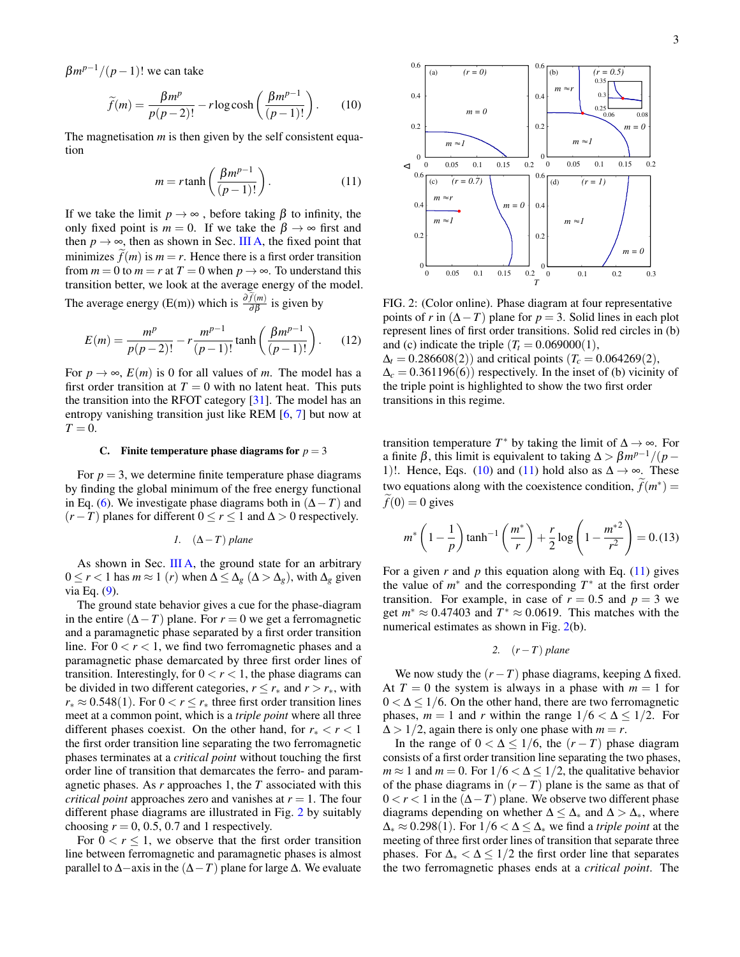$\beta m^{p-1}/(p-1)!$  we can take

$$
\widetilde{f}(m) = \frac{\beta m^p}{p(p-2)!} - r \log \cosh\left(\frac{\beta m^{p-1}}{(p-1)!}\right). \tag{10}
$$

The magnetisation *m* is then given by the self consistent equation

$$
m = r \tanh\left(\frac{\beta m^{p-1}}{(p-1)!}\right). \tag{11}
$$

If we take the limit  $p \to \infty$ , before taking  $\beta$  to infinity, the only fixed point is  $m = 0$ . If we take the  $\beta \to \infty$  first and then  $p \rightarrow \infty$ , then as shown in Sec. [III A,](#page-1-4) the fixed point that minimizes  $f(m)$  is  $m = r$ . Hence there is a first order transition from  $m = 0$  to  $m = r$  at  $T = 0$  when  $p \rightarrow \infty$ . To understand this transition better, we look at the average energy of the model.

The average energy (E(m)) which is  $\frac{\partial f(m)}{\partial \beta}$  is given by

$$
E(m) = \frac{m^p}{p(p-2)!} - r \frac{m^{p-1}}{(p-1)!} \tanh\left(\frac{\beta m^{p-1}}{(p-1)!}\right). \tag{12}
$$

For  $p \rightarrow \infty$ ,  $E(m)$  is 0 for all values of *m*. The model has a first order transition at  $T = 0$  with no latent heat. This puts the transition into the RFOT category [\[31\]](#page-7-19). The model has an entropy vanishing transition just like REM [\[6,](#page-6-4) [7\]](#page-6-3) but now at  $T = 0$ .

#### C. Finite temperature phase diagrams for  $p = 3$

For  $p = 3$ , we determine finite temperature phase diagrams by finding the global minimum of the free energy functional in Eq. [\(6\)](#page-1-3). We investigate phase diagrams both in  $(∆-T)$  and  $(r - T)$  planes for different  $0 \le r \le 1$  and  $\Delta > 0$  respectively.

<span id="page-2-3"></span>
$$
1. \quad (\Delta - T) \text{ plane}
$$

As shown in Sec. [III A,](#page-1-4) the ground state for an arbitrary  $0 \le r < 1$  has *m* ≈ 1 (*r*) when  $\Delta \le \Delta_g$  ( $\Delta > \Delta_g$ ), with  $\Delta_g$  given via Eq. [\(9\)](#page-1-5).

The ground state behavior gives a cue for the phase-diagram in the entire (∆−*T*) plane. For *r* = 0 we get a ferromagnetic and a paramagnetic phase separated by a first order transition line. For  $0 < r < 1$ , we find two ferromagnetic phases and a paramagnetic phase demarcated by three first order lines of transition. Interestingly, for  $0 < r < 1$ , the phase diagrams can be divided in two different categories,  $r \leq r_*$  and  $r > r_*$ , with  $r_* \approx 0.548(1)$ . For  $0 < r \le r_*$  three first order transition lines meet at a common point, which is a *triple point* where all three different phases coexist. On the other hand, for  $r_* < r < 1$ the first order transition line separating the two ferromagnetic phases terminates at a *critical point* without touching the first order line of transition that demarcates the ferro- and paramagnetic phases. As *r* approaches 1, the *T* associated with this *critical point* approaches zero and vanishes at  $r = 1$ . The four different phase diagrams are illustrated in Fig. [2](#page-2-0) by suitably choosing  $r = 0, 0.5, 0.7$  and 1 respectively.

For  $0 < r \leq 1$ , we observe that the first order transition line between ferromagnetic and paramagnetic phases is almost parallel to ∆−axis in the (∆−*T*) plane for large ∆. We evaluate

<span id="page-2-2"></span><span id="page-2-1"></span><span id="page-2-0"></span>

FIG. 2: (Color online). Phase diagram at four representative points of *r* in  $(\Delta - T)$  plane for *p* = 3. Solid lines in each plot represent lines of first order transitions. Solid red circles in (b) and (c) indicate the triple  $(T<sub>t</sub> = 0.069000(1))$ ,

 $\Delta_t = 0.286608(2)$  and critical points  $(T_c = 0.064269(2))$ ,  $\Delta_c = 0.361196(6)$  respectively. In the inset of (b) vicinity of the triple point is highlighted to show the two first order transitions in this regime.

transition temperature  $T^*$  by taking the limit of  $\Delta \rightarrow \infty$ . For a finite  $\beta$ , this limit is equivalent to taking  $\Delta > \beta m^{p-1}/(p-1)$ 1)!. Hence, Eqs. [\(10\)](#page-2-1) and [\(11\)](#page-2-2) hold also as  $\Delta \rightarrow \infty$ . These two equations along with the coexistence condition,  $\tilde{f}(m^*) = \tilde{f}(m^*)$  $\tilde{f}(0) = 0$  gives

<span id="page-2-5"></span>
$$
m^* \left(1 - \frac{1}{p}\right) \tanh^{-1} \left(\frac{m^*}{r}\right) + \frac{r}{2} \log \left(1 - \frac{m^{*2}}{r^2}\right) = 0. (13)
$$

For a given  $r$  and  $p$  this equation along with Eq.  $(11)$  gives the value of  $m^*$  and the corresponding  $T^*$  at the first order transition. For example, in case of  $r = 0.5$  and  $p = 3$  we get  $m^* \approx 0.47403$  and  $T^* \approx 0.0619$ . This matches with the numerical estimates as shown in Fig. [2\(](#page-2-0)b).

<span id="page-2-4"></span>2. 
$$
(r - T)
$$
 plane

We now study the  $(r - T)$  phase diagrams, keeping  $\Delta$  fixed. At  $T = 0$  the system is always in a phase with  $m = 1$  for  $0 < \Delta \leq 1/6$ . On the other hand, there are two ferromagnetic phases,  $m = 1$  and  $r$  within the range  $1/6 < \Delta \le 1/2$ . For  $\Delta > 1/2$ , again there is only one phase with  $m = r$ .

In the range of  $0 < \Delta \leq 1/6$ , the  $(r - T)$  phase diagram consists of a first order transition line separating the two phases, *m*  $\approx$  1 and *m* = 0. For  $1/6 < \Delta \le 1/2$ , the qualitative behavior of the phase diagrams in  $(r - T)$  plane is the same as that of  $0 < r < 1$  in the  $(Δ - T)$  plane. We observe two different phase diagrams depending on whether  $\Delta < \Delta_*$  and  $\Delta > \Delta_*$ , where  $\Delta$ <sup>∗</sup> ≈ 0.298(1). For 1/6 <  $\Delta$  ≤  $\Delta$ <sup>∗</sup> we find a *triple point* at the meeting of three first order lines of transition that separate three phases. For  $\Delta$ <sub>∗</sub>  $\lt \Delta \lt 1/2$  the first order line that separates the two ferromagnetic phases ends at a *critical point*. The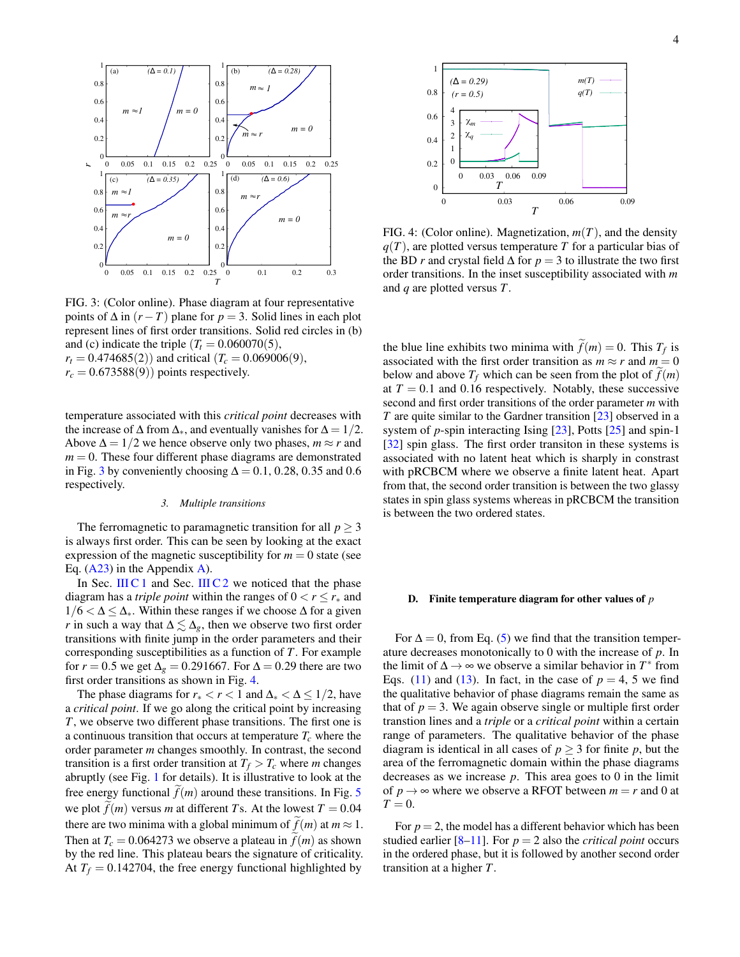<span id="page-3-0"></span>

FIG. 3: (Color online). Phase diagram at four representative points of  $\Delta$  in  $(r - T)$  plane for  $p = 3$ . Solid lines in each plot represent lines of first order transitions. Solid red circles in (b) and (c) indicate the triple  $(T<sub>t</sub> = 0.060070(5))$ ,

*T*

 $r_t = 0.474685(2)$  and critical  $(T_c = 0.069006(9))$ ,  $r_c = 0.673588(9)$  points respectively.

temperature associated with this *critical point* decreases with the increase of  $\Delta$  from  $\Delta_*$ , and eventually vanishes for  $\Delta = 1/2$ . Above  $\Delta = 1/2$  we hence observe only two phases,  $m \approx r$  and  $m = 0$ . These four different phase diagrams are demonstrated in Fig. [3](#page-3-0) by conveniently choosing  $\Delta = 0.1$ , 0.28, 0.35 and 0.6 respectively.

#### *3. Multiple transitions*

The ferromagnetic to paramagnetic transition for all  $p \geq 3$ is always first order. This can be seen by looking at the exact expression of the magnetic susceptibility for  $m = 0$  state (see Eq.  $(A23)$  in the Appendix [A\)](#page-5-0).

In Sec. [III C 1](#page-2-3) and Sec. [III C 2](#page-2-4) we noticed that the phase diagram has a *triple point* within the ranges of  $0 < r \le r_*$  and  $1/6 < \Delta \leq \Delta_*$ . Within these ranges if we choose  $\Delta$  for a given *r* in such a way that  $\Delta \lesssim \Delta_g$ , then we observe two first order transitions with finite jump in the order parameters and their corresponding susceptibilities as a function of *T*. For example for *r* = 0.5 we get  $\Delta_g$  = 0.291667. For  $\Delta$  = 0.29 there are two first order transitions as shown in Fig. [4.](#page-3-1)

The phase diagrams for  $r_* < r < 1$  and  $\Delta_* < \Delta \leq 1/2$ , have a *critical point*. If we go along the critical point by increasing *T*, we observe two different phase transitions. The first one is a continuous transition that occurs at temperature  $T_c$  where the order parameter *m* changes smoothly. In contrast, the second transition is a first order transition at  $T_f > T_c$  where *m* changes abruptly (see Fig. [1](#page-0-2) for details). It is illustrative to look at the free energy functional  $f(m)$  around these transitions. In Fig. [5](#page-4-2) we plot  $f(m)$  versus *m* at different *T*s. At the lowest  $T = 0.04$ there are two minima with a global minimum of  $f(m)$  at  $m \approx 1$ . Then at  $T_c = 0.064273$  we observe a plateau in  $f(m)$  as shown by the red line. This plateau bears the signature of criticality. At  $T_f = 0.142704$ , the free energy functional highlighted by

<span id="page-3-1"></span>

FIG. 4: (Color online). Magnetization, *m*(*T*), and the density  $q(T)$ , are plotted versus temperature *T* for a particular bias of the BD *r* and crystal field  $\Delta$  for  $p = 3$  to illustrate the two first order transitions. In the inset susceptibility associated with *m* and *q* are plotted versus *T*.

the blue line exhibits two minima with  $f(m) = 0$ . This  $T_f$  is associated with the first order transition as  $m \approx r$  and  $m = 0$ below and above  $T_f$  which can be seen from the plot of  $f(m)$ at  $T = 0.1$  and 0.16 respectively. Notably, these successive second and first order transitions of the order parameter *m* with *T* are quite similar to the Gardner transition [\[23\]](#page-7-10) observed in a system of *p*-spin interacting Ising [\[23\]](#page-7-10), Potts [\[25\]](#page-7-12) and spin-1 [\[32\]](#page-7-20) spin glass. The first order transiton in these systems is associated with no latent heat which is sharply in constrast with pRCBCM where we observe a finite latent heat. Apart from that, the second order transition is between the two glassy states in spin glass systems whereas in pRCBCM the transition is between the two ordered states.

#### D. Finite temperature diagram for other values of *p*

For  $\Delta = 0$ , from Eq. [\(5\)](#page-1-6) we find that the transition temperature decreases monotonically to 0 with the increase of *p*. In the limit of  $\Delta \rightarrow \infty$  we observe a similar behavior in  $T^*$  from Eqs. [\(11\)](#page-2-2) and [\(13\)](#page-2-5). In fact, in the case of  $p = 4$ , 5 we find the qualitative behavior of phase diagrams remain the same as that of  $p = 3$ . We again observe single or multiple first order transtion lines and a *triple* or a *critical point* within a certain range of parameters. The qualitative behavior of the phase diagram is identical in all cases of  $p \geq 3$  for finite p, but the area of the ferromagnetic domain within the phase diagrams decreases as we increase *p*. This area goes to 0 in the limit of  $p \rightarrow \infty$  where we observe a RFOT between  $m = r$  and 0 at  $T = 0$ .

For  $p = 2$ , the model has a different behavior which has been studied earlier  $[8-11]$  $[8-11]$ . For  $p = 2$  also the *critical point* occurs in the ordered phase, but it is followed by another second order transition at a higher *T*.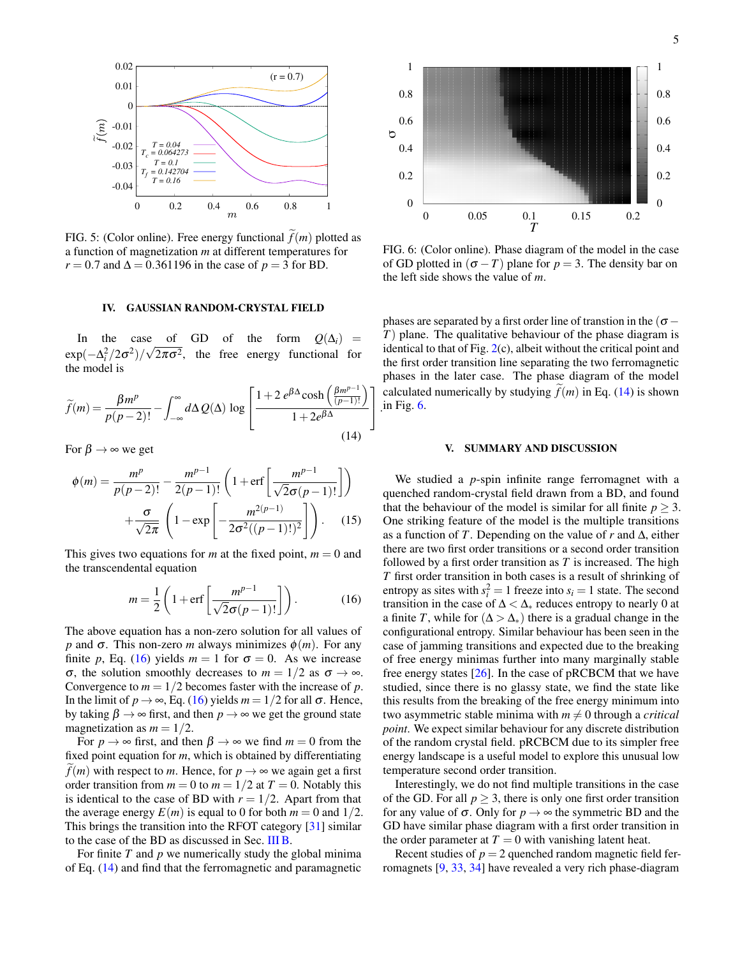<span id="page-4-2"></span>

FIG. 5: (Color online). Free energy functional  $f(m)$  plotted as a function of magnetization *m* at different temperatures for *r* = 0.7 and  $\Delta$  = 0.361196 in the case of *p* = 3 for BD.

### <span id="page-4-4"></span><span id="page-4-0"></span>IV. GAUSSIAN RANDOM-CRYSTAL FIELD

In the case of GD of the form  $Q(\Delta_i)$  =  $\exp(-\Delta_i^2/2\sigma^2)/\sqrt{2\pi\sigma^2}$ , the free energy functional for √ the model is

$$
\widetilde{f}(m) = \frac{\beta m^p}{p(p-2)!} - \int_{-\infty}^{\infty} d\Delta \, Q(\Delta) \, \log \left[ \frac{1 + 2 \, e^{\beta \Delta} \cosh \left( \frac{\beta m^{p-1}}{(p-1)!} \right)}{1 + 2e^{\beta \Delta}} \right]
$$
\n(14)

For  $\beta \rightarrow \infty$  we get

$$
\phi(m) = \frac{m^p}{p(p-2)!} - \frac{m^{p-1}}{2(p-1)!} \left( 1 + \text{erf}\left[ \frac{m^{p-1}}{\sqrt{2}\sigma(p-1)!} \right] \right) + \frac{\sigma}{\sqrt{2\pi}} \left( 1 - \text{exp}\left[ -\frac{m^{2(p-1)}}{2\sigma^2((p-1)!)^2} \right] \right). \tag{15}
$$

This gives two equations for *m* at the fixed point,  $m = 0$  and the transcendental equation

<span id="page-4-3"></span>
$$
m = \frac{1}{2} \left( 1 + \text{erf}\left[\frac{m^{p-1}}{\sqrt{2}\sigma(p-1)!}\right] \right). \tag{16}
$$

The above equation has a non-zero solution for all values of *p* and  $\sigma$ . This non-zero *m* always minimizes  $\phi(m)$ . For any finite *p*, Eq. [\(16\)](#page-4-3) yields  $m = 1$  for  $\sigma = 0$ . As we increase σ, the solution smoothly decreases to *m* = 1/2 as σ → ∞. Convergence to  $m = 1/2$  becomes faster with the increase of  $p$ . In the limit of  $p \rightarrow \infty$ , Eq. [\(16\)](#page-4-3) yields  $m = 1/2$  for all  $\sigma$ . Hence, by taking  $\beta \rightarrow \infty$  first, and then  $p \rightarrow \infty$  we get the ground state magnetization as  $m = 1/2$ .

For  $p \to \infty$  first, and then  $\beta \to \infty$  we find  $m = 0$  from the fixed point equation for *m*, which is obtained by differentiating *f*(*m*) with respect to *m*. Hence, for  $p \rightarrow \infty$  we again get a first order transition from  $m = 0$  to  $m = 1/2$  at  $T = 0$ . Notably this is identical to the case of BD with  $r = 1/2$ . Apart from that the average energy  $E(m)$  is equal to 0 for both  $m = 0$  and 1/2. This brings the transition into the RFOT category [\[31\]](#page-7-19) similar to the case of the BD as discussed in Sec. [III B.](#page-1-7)

For finite *T* and *p* we numerically study the global minima of Eq. [\(14\)](#page-4-4) and find that the ferromagnetic and paramagnetic

<span id="page-4-5"></span>

FIG. 6: (Color online). Phase diagram of the model in the case of GD plotted in  $(\sigma - T)$  plane for  $p = 3$ . The density bar on the left side shows the value of *m*.

| .in Fig.  $6$ . phases are separated by a first order line of transtion in the ( $\sigma$  − *T*) plane. The qualitative behaviour of the phase diagram is identical to that of Fig.  $2(c)$  $2(c)$ , albeit without the critical point and the first order transition line separating the two ferromagnetic phases in the later case. The phase diagram of the model calculated numerically by studying  $\tilde{f}(m)$  in Eq. [\(14\)](#page-4-4) is shown

### <span id="page-4-1"></span>V. SUMMARY AND DISCUSSION

We studied a *p*-spin infinite range ferromagnet with a quenched random-crystal field drawn from a BD, and found that the behaviour of the model is similar for all finite  $p > 3$ . One striking feature of the model is the multiple transitions as a function of *T*. Depending on the value of *r* and ∆, either there are two first order transitions or a second order transition followed by a first order transition as *T* is increased. The high *T* first order transition in both cases is a result of shrinking of entropy as sites with  $s_i^2 = 1$  freeze into  $s_i = 1$  state. The second transition in the case of  $\Delta < \Delta_*$  reduces entropy to nearly 0 at a finite *T*, while for  $(∆ > ∆<sub>*</sub>)$  there is a gradual change in the configurational entropy. Similar behaviour has been seen in the case of jamming transitions and expected due to the breaking of free energy minimas further into many marginally stable free energy states [\[26\]](#page-7-13). In the case of pRCBCM that we have studied, since there is no glassy state, we find the state like this results from the breaking of the free energy minimum into two asymmetric stable minima with  $m \neq 0$  through a *critical point*. We expect similar behaviour for any discrete distribution of the random crystal field. pRCBCM due to its simpler free energy landscape is a useful model to explore this unusual low temperature second order transition.

Interestingly, we do not find multiple transitions in the case of the GD. For all  $p \geq 3$ , there is only one first order transition for any value of  $\sigma$ . Only for  $p \to \infty$  the symmetric BD and the GD have similar phase diagram with a first order transition in the order parameter at  $T = 0$  with vanishing latent heat.

Recent studies of  $p = 2$  quenched random magnetic field ferromagnets [\[9,](#page-7-21) [33,](#page-7-22) [34\]](#page-7-23) have revealed a very rich phase-diagram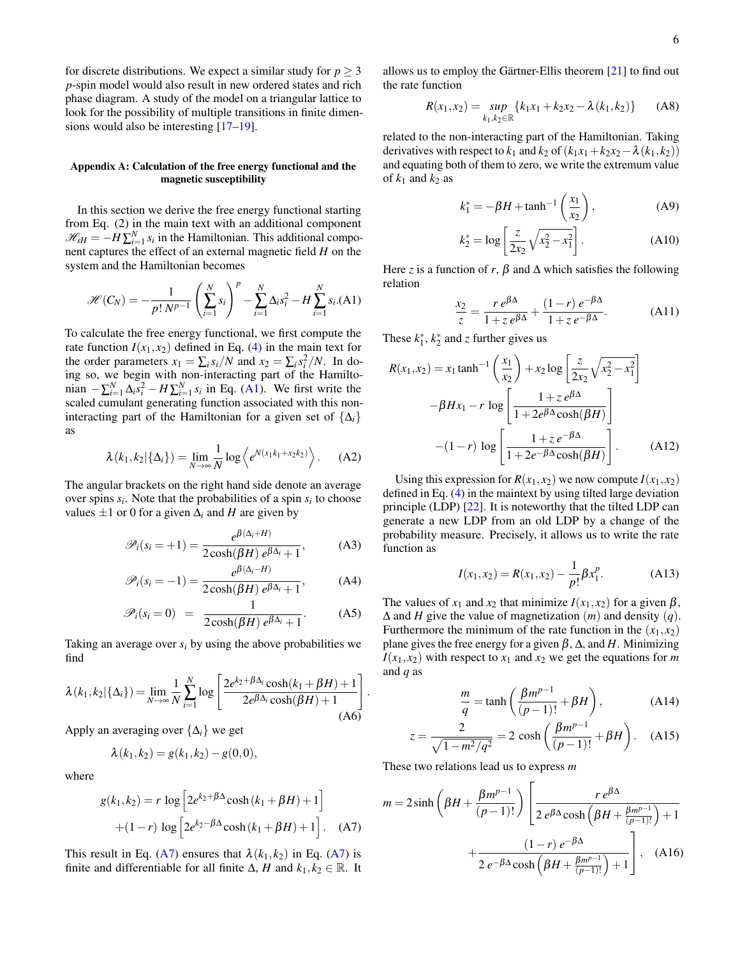for discrete distributions. We expect a similar study for  $p \geq 3$ *p*-spin model would also result in new ordered states and rich phase diagram. A study of the model on a triangular lattice to look for the possibility of multiple transitions in finite dimensions would also be interesting [\[17–](#page-7-24)[19\]](#page-7-7).

# <span id="page-5-0"></span>Appendix A: Calculation of the free energy functional and the magnetic susceptibility

In this section we derive the free energy functional starting from Eq. (2) in the main text with an additional component  $\mathcal{H}_{sH} = -H\sum_{i=1}^{N} s_i$  in the Hamiltonian. This additional component captures the effect of an external magnetic field *H* on the system and the Hamiltonian becomes

<span id="page-5-1"></span>
$$
\mathcal{H}(C_N) = -\frac{1}{p! \ N^{p-1}} \left( \sum_{i=1}^N s_i \right)^p - \sum_{i=1}^N \Delta_i s_i^2 - H \sum_{i=1}^N s_i. \text{(A1)}
$$

To calculate the free energy functional, we first compute the rate function  $I(x_1, x_2)$  defined in Eq. [\(4\)](#page-1-8) in the main text for the order parameters  $x_1 = \sum_i s_i/N$  and  $x_2 = \sum_i s_i^2/N$ . In doing so, we begin with non-interacting part of the Hamiltonian  $-\sum_{i=1}^{N} \Delta_i s_i^2 - H \sum_{i=1}^{N} s_i$  in Eq. [\(A1\)](#page-5-1). We first write the scaled cumulant generating function associated with this noninteracting part of the Hamiltonian for a given set of  $\{\Delta_i\}$ as

$$
\lambda(k_1,k_2|\{\Delta_i\}) = \lim_{N \to \infty} \frac{1}{N} \log \left\langle e^{N(x_1k_1 + x_2k_2)} \right\rangle. \tag{A2}
$$

The angular brackets on the right hand side denote an average over spins  $s_i$ . Note that the probabilities of a spin  $s_i$  to choose values  $\pm 1$  or 0 for a given  $\Delta$ *i* and *H* are given by

$$
\mathscr{P}_i(s_i = +1) = \frac{e^{\beta(\Delta_i + H)}}{2\cosh(\beta H) e^{\beta \Delta_i} + 1},
$$
 (A3)

$$
\mathscr{P}_i(s_i = -1) = \frac{e^{\beta(\Delta_i - H)}}{2\cosh(\beta H) e^{\beta \Delta_i} + 1},\tag{A4}
$$

$$
\mathscr{P}_i(s_i = 0) = \frac{1}{2\cosh(\beta H) e^{\beta \Delta_i} + 1}.
$$
 (A5)

Taking an average over  $s_i$  by using the above probabilities we find

$$
\lambda(k_1, k_2 | \{\Delta_i\}) = \lim_{N \to \infty} \frac{1}{N} \sum_{i=1}^N \log \left[ \frac{2e^{k_2 + \beta \Delta_i} \cosh(k_1 + \beta H) + 1}{2e^{\beta \Delta_i} \cosh(\beta H) + 1} \right]
$$
\n(A6)

Apply an averaging over {∆*i*} we get

<span id="page-5-2"></span>
$$
\lambda(k_1,k_2) = g(k_1,k_2) - g(0,0),
$$

where

$$
g(k_1, k_2) = r \log \left[ 2e^{k_2 + \beta \Delta} \cosh \left( k_1 + \beta H \right) + 1 \right]
$$

$$
+ (1 - r) \log \left[ 2e^{k_2 - \beta \Delta} \cosh \left( k_1 + \beta H \right) + 1 \right]. \quad (A7)
$$

This result in Eq. [\(A7\)](#page-5-2) ensures that  $\lambda(k_1, k_2)$  in Eq. (A7) is finite and differentiable for all finite  $\Delta$ , *H* and  $k_1, k_2 \in \mathbb{R}$ . It allows us to employ the Gärtner-Ellis theorem  $[21]$  $[21]$  to find out the rate function

$$
R(x_1, x_2) = \sup_{k_1, k_2 \in \mathbb{R}} \{k_1 x_1 + k_2 x_2 - \lambda(k_1, k_2)\}
$$
 (A8)

related to the non-interacting part of the Hamiltonian. Taking derivatives with respect to  $k_1$  and  $k_2$  of  $(k_1x_1+k_2x_2-\lambda(k_1, k_2))$ and equating both of them to zero, we write the extremum value of  $k_1$  and  $k_2$  as

$$
k_1^* = -\beta H + \tanh^{-1}\left(\frac{x_1}{x_2}\right),
$$
 (A9)

$$
k_2^* = \log \left[ \frac{z}{2x_2} \sqrt{x_2^2 - x_1^2} \right].
$$
 (A10)

Here *z* is a function of *r*,  $\beta$  and  $\Delta$  which satisfies the following relation

<span id="page-5-3"></span>
$$
\frac{x_2}{z} = \frac{r e^{\beta \Delta}}{1 + z e^{\beta \Delta}} + \frac{(1 - r) e^{-\beta \Delta}}{1 + z e^{-\beta \Delta}}.
$$
 (A11)

These  $k_1^*$ ,  $k_2^*$  and *z* further gives us

$$
R(x_1, x_2) = x_1 \tanh^{-1} \left(\frac{x_1}{x_2}\right) + x_2 \log \left[\frac{z}{2x_2} \sqrt{x_2^2 - x_1^2}\right]
$$

$$
-\beta Hx_1 - r \log \left[\frac{1 + z e^{\beta \Delta}}{1 + 2e^{\beta \Delta} \cosh(\beta H)}\right]
$$

$$
-(1 - r) \log \left[\frac{1 + z e^{-\beta \Delta}}{1 + 2e^{-\beta \Delta} \cosh(\beta H)}\right].
$$
(A12)

Using this expression for  $R(x_1, x_2)$  we now compute  $I(x_1, x_2)$ defined in Eq. [\(4\)](#page-1-8) in the maintext by using tilted large deviation principle (LDP) [\[22\]](#page-7-9). It is noteworthy that the tilted LDP can generate a new LDP from an old LDP by a change of the probability measure. Precisely, it allows us to write the rate function as

$$
I(x_1, x_2) = R(x_1, x_2) - \frac{1}{p!} \beta x_1^p.
$$
 (A13)

The values of  $x_1$  and  $x_2$  that minimize  $I(x_1, x_2)$  for a given  $\beta$ , ∆ and *H* give the value of magnetization (*m*) and density (*q*). Furthermore the minimum of the rate function in the  $(x_1, x_2)$ plane gives the free energy for a given  $β$ ,  $Δ$ , and  $H$ . Minimizing  $I(x_1, x_2)$  with respect to  $x_1$  and  $x_2$  we get the equations for *m* and *q* as

<span id="page-5-5"></span>
$$
\frac{m}{q} = \tanh\left(\frac{\beta m^{p-1}}{(p-1)!} + \beta H\right),\tag{A14}
$$

$$
z = \frac{2}{\sqrt{1 - m^2/q^2}} = 2 \cosh\left(\frac{\beta m^{p-1}}{(p-1)!} + \beta H\right). \quad (A15)
$$

These two relations lead us to express *m*

.

<span id="page-5-4"></span>
$$
m = 2\sinh\left(\beta H + \frac{\beta m^{p-1}}{(p-1)!}\right) \left[\frac{r e^{\beta \Delta}}{2 e^{\beta \Delta} \cosh\left(\beta H + \frac{\beta m^{p-1}}{(p-1)!}\right) + 1} + \frac{(1-r) e^{-\beta \Delta}}{2 e^{-\beta \Delta} \cosh\left(\beta H + \frac{\beta m^{p-1}}{(p-1)!}\right) + 1}\right], \quad (A16)
$$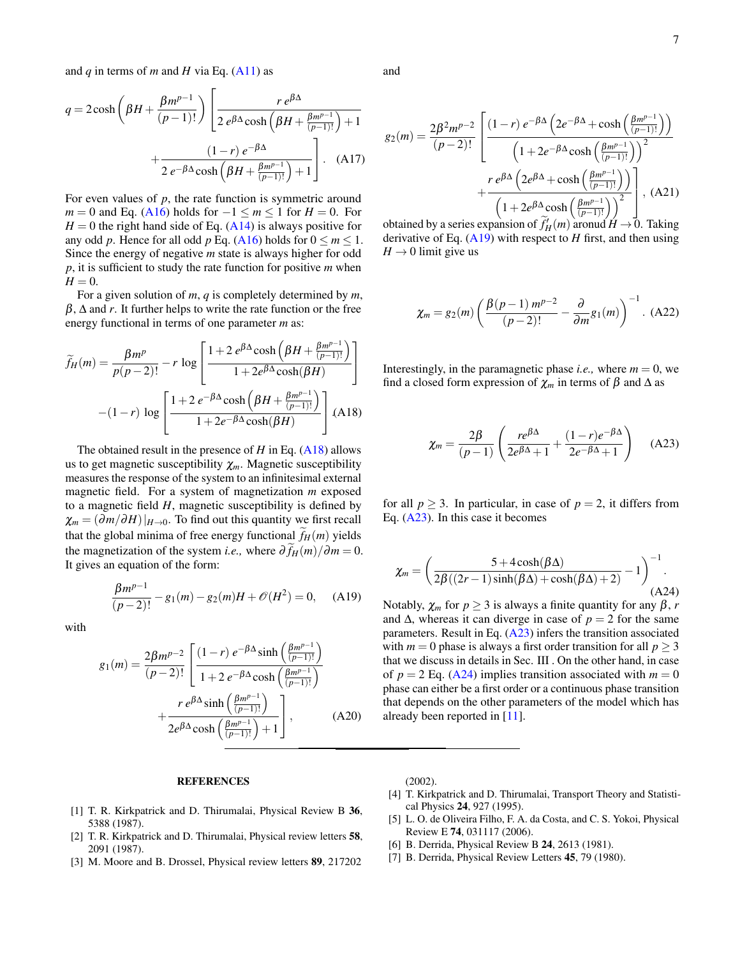and  $q$  in terms of  $m$  and  $H$  via Eq. [\(A11\)](#page-5-3) as

$$
q = 2\cosh\left(\beta H + \frac{\beta m^{p-1}}{(p-1)!}\right) \left[\frac{r e^{\beta \Delta}}{2 e^{\beta \Delta} \cosh\left(\beta H + \frac{\beta m^{p-1}}{(p-1)!}\right) + 1} + \frac{(1-r) e^{-\beta \Delta}}{2 e^{-\beta \Delta} \cosh\left(\beta H + \frac{\beta m^{p-1}}{(p-1)!}\right) + 1}\right].
$$
 (A17)

For even values of  $p$ , the rate function is symmetric around  $m = 0$  and Eq. [\(A16\)](#page-5-4) holds for  $-1 \le m \le 1$  for  $H = 0$ . For  $H = 0$  the right hand side of Eq. [\(A14\)](#page-5-5) is always positive for any odd *p*. Hence for all odd *p* Eq. [\(A16\)](#page-5-4) holds for  $0 \le m \le 1$ . Since the energy of negative *m* state is always higher for odd *p*, it is sufficient to study the rate function for positive *m* when  $H = 0$ .

For a given solution of *m*, *q* is completely determined by *m*,  $\beta$ ,  $\Delta$  and *r*. It further helps to write the rate function or the free energy functional in terms of one parameter *m* as:

<span id="page-6-6"></span>
$$
\widetilde{f}_H(m) = \frac{\beta m^p}{p(p-2)!} - r \log \left[ \frac{1 + 2 e^{\beta \Delta} \cosh \left(\beta H + \frac{\beta m^{p-1}}{(p-1)!}\right)}{1 + 2 e^{\beta \Delta} \cosh(\beta H)} \right]
$$

$$
-(1-r) \log \left[ \frac{1 + 2 e^{-\beta \Delta} \cosh \left(\beta H + \frac{\beta m^{p-1}}{(p-1)!}\right)}{1 + 2 e^{-\beta \Delta} \cosh(\beta H)} \right] (A18)
$$

The obtained result in the presence of *H* in Eq. [\(A18\)](#page-6-6) allows us to get magnetic susceptibility  $\chi_m$ . Magnetic susceptibility measures the response of the system to an infinitesimal external magnetic field. For a system of magnetization *m* exposed to a magnetic field *H*, magnetic susceptibility is defined by  $\chi_m = (\partial m / \partial H)|_{H \to 0}$ . To find out this quantity we first recall that the global minima of free energy functional  $f_H(m)$  yields the magnetization of the system *i.e.*, where  $\frac{\partial f_H(m)}{\partial m} = 0$ . It gives an equation of the form:

<span id="page-6-7"></span>
$$
\frac{\beta m^{p-1}}{(p-2)!} - g_1(m) - g_2(m)H + \mathcal{O}(H^2) = 0, \quad \text{(A19)}
$$

with

$$
g_1(m) = \frac{2\beta m^{p-2}}{(p-2)!} \left[ \frac{(1-r) e^{-\beta \Delta} \sinh\left(\frac{\beta m^{p-1}}{(p-1)!}\right)}{1+2 e^{-\beta \Delta} \cosh\left(\frac{\beta m^{p-1}}{(p-1)!}\right)} + \frac{r e^{\beta \Delta} \sinh\left(\frac{\beta m^{p-1}}{(p-1)!}\right)}{2e^{\beta \Delta} \cosh\left(\frac{\beta m^{p-1}}{(p-1)!}\right)+1} \right],
$$
 (A20)

and

$$
g_2(m) = \frac{2\beta^2 m^{p-2}}{(p-2)!} \left[ \frac{(1-r) e^{-\beta \Delta} \left( 2e^{-\beta \Delta} + \cosh\left(\frac{\beta m^{p-1}}{(p-1)!}\right) \right)}{\left( 1 + 2e^{-\beta \Delta} \cosh\left(\frac{\beta m^{p-1}}{(p-1)!}\right) \right)^2} + \frac{r e^{\beta \Delta} \left( 2e^{\beta \Delta} + \cosh\left(\frac{\beta m^{p-1}}{(p-1)!}\right) \right)}{\left( 1 + 2e^{\beta \Delta} \cosh\left(\frac{\beta m^{p-1}}{(p-1)!}\right) \right)^2} \right], \text{ (A21)}
$$

obtained by a series expansion of  $\tilde{f}_H^l(m)$  aronud  $H \to 0$ . Taking derivative of Eq. [\(A19\)](#page-6-7) with respect to *H* first, and then using  $H \rightarrow 0$  limit give us

$$
\chi_m = g_2(m) \left( \frac{\beta(p-1) \, m^{p-2}}{(p-2)!} - \frac{\partial}{\partial m} g_1(m) \right)^{-1} . \tag{A22}
$$

Interestingly, in the paramagnetic phase *i.e.*, where  $m = 0$ , we find a closed form expression of  $\chi_m$  in terms of  $\beta$  and  $\Delta$  as

<span id="page-6-8"></span><span id="page-6-5"></span>
$$
\chi_m = \frac{2\beta}{(p-1)} \left( \frac{re^{\beta \Delta}}{2e^{\beta \Delta} + 1} + \frac{(1-r)e^{-\beta \Delta}}{2e^{-\beta \Delta} + 1} \right) \quad (A23)
$$

for all  $p \geq 3$ . In particular, in case of  $p = 2$ , it differs from Eq. [\(A23\)](#page-6-5). In this case it becomes

$$
\chi_m = \left(\frac{5 + 4\cosh(\beta \Delta)}{2\beta((2r - 1)\sinh(\beta \Delta) + \cosh(\beta \Delta) + 2)} - 1\right)^{-1}.\tag{A24}
$$

Notably,  $\chi_m$  for  $p \geq 3$  is always a finite quantity for any  $\beta$ , *r* and  $\Delta$ , whereas it can diverge in case of  $p = 2$  for the same parameters. Result in Eq. [\(A23\)](#page-6-5) infers the transition associated with  $m = 0$  phase is always a first order transition for all  $p > 3$ that we discuss in details in Sec. III . On the other hand, in case of  $p = 2$  Eq. [\(A24\)](#page-6-8) implies transition associated with  $m = 0$ phase can either be a first order or a continuous phase transition that depends on the other parameters of the model which has already been reported in [\[11\]](#page-7-1).

### REFERENCES

- <span id="page-6-0"></span>[1] T. R. Kirkpatrick and D. Thirumalai, Physical Review B 36, 5388 (1987).
- [2] T. R. Kirkpatrick and D. Thirumalai, Physical review letters 58, 2091 (1987).
- [3] M. Moore and B. Drossel, Physical review letters 89, 217202

 $(2002)$ .

- <span id="page-6-1"></span>[4] T. Kirkpatrick and D. Thirumalai, Transport Theory and Statistical Physics 24, 927 (1995).
- <span id="page-6-2"></span>[5] L. O. de Oliveira Filho, F. A. da Costa, and C. S. Yokoi, Physical Review E 74, 031117 (2006).
- <span id="page-6-4"></span>[6] B. Derrida, Physical Review B 24, 2613 (1981).
- <span id="page-6-3"></span>[7] B. Derrida, Physical Review Letters 45, 79 (1980).